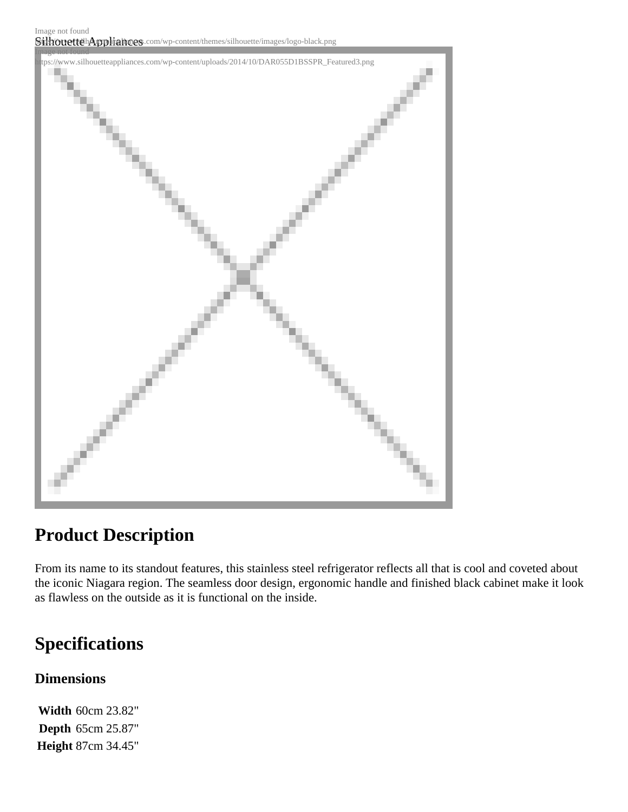SilhouettehAppliances.com/wp-content/themes/silhouette/images/logo-black.png Image not found



## **Product Description**

From its name to its standout features, this stainless steel refrigerator reflects all that is cool and coveted about the iconic Niagara region. The seamless door design, ergonomic handle and finished black cabinet make it look as flawless on the outside as it is functional on the inside.

# **Specifications**

### **Dimensions**

**Width** 60cm 23.82" **Depth** 65cm 25.87" **Height** 87cm 34.45"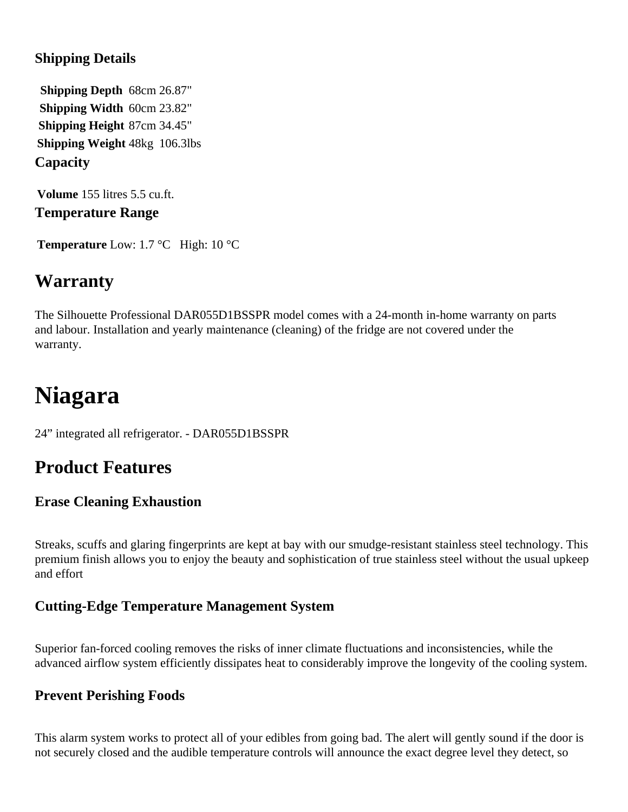### **Shipping Details**

**Shipping Depth** 68cm 26.87" **Shipping Width** 60cm 23.82" **Shipping Height** 87cm 34.45" **Shipping Weight** 48kg 106.3lbs **Capacity**

**Volume** 155 litres 5.5 cu.ft. **Temperature Range**

**Temperature** Low: 1.7 °C High: 10 °C

### **Warranty**

The Silhouette Professional DAR055D1BSSPR model comes with a 24-month in-home warranty on parts and labour. Installation and yearly maintenance (cleaning) of the fridge are not covered under the warranty.

# **Niagara**

24" integrated all refrigerator. - DAR055D1BSSPR

## **Product Features**

### **Erase Cleaning Exhaustion**

Streaks, scuffs and glaring fingerprints are kept at bay with our smudge-resistant stainless steel technology. This premium finish allows you to enjoy the beauty and sophistication of true stainless steel without the usual upkeep and effort

### **Cutting-Edge Temperature Management System**

Superior fan-forced cooling removes the risks of inner climate fluctuations and inconsistencies, while the advanced airflow system efficiently dissipates heat to considerably improve the longevity of the cooling system.

### **Prevent Perishing Foods**

This alarm system works to protect all of your edibles from going bad. The alert will gently sound if the door is not securely closed and the audible temperature controls will announce the exact degree level they detect, so